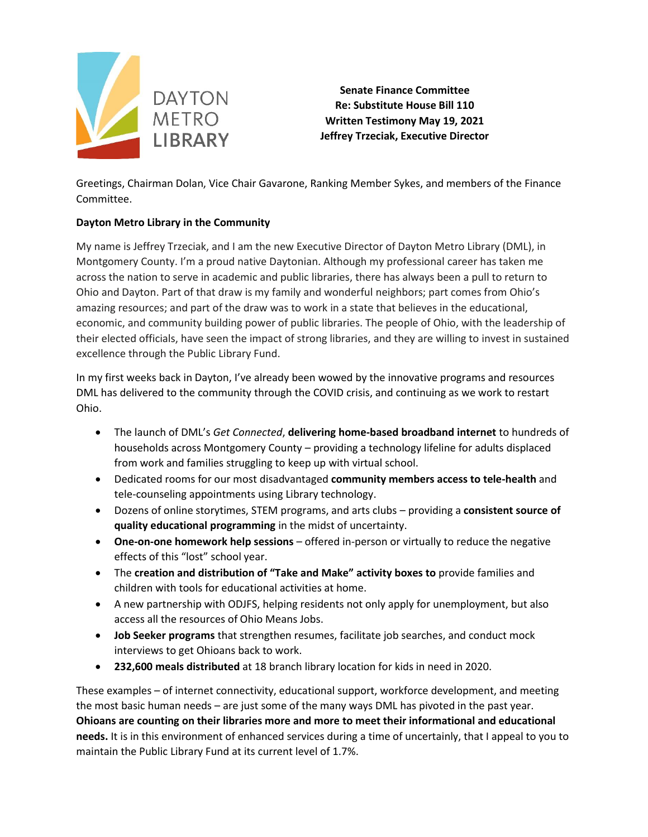

**Senate Finance Committee Re: Substitute House Bill 110 Written Testimony May 19, 2021 Jeffrey Trzeciak, Executive Director**

Greetings, Chairman Dolan, Vice Chair Gavarone, Ranking Member Sykes, and members of the Finance Committee.

## **Dayton Metro Library in the Community**

My name is Jeffrey Trzeciak, and I am the new Executive Director of Dayton Metro Library (DML), in Montgomery County. I'm a proud native Daytonian. Although my professional career has taken me across the nation to serve in academic and public libraries, there has always been a pull to return to Ohio and Dayton. Part of that draw is my family and wonderful neighbors; part comes from Ohio's amazing resources; and part of the draw was to work in a state that believes in the educational, economic, and community building power of public libraries. The people of Ohio, with the leadership of their elected officials, have seen the impact of strong libraries, and they are willing to invest in sustained excellence through the Public Library Fund.

In my first weeks back in Dayton, I've already been wowed by the innovative programs and resources DML has delivered to the community through the COVID crisis, and continuing as we work to restart Ohio.

- The launch of DML's *Get Connected*, **delivering home-based broadband internet** to hundreds of households across Montgomery County – providing a technology lifeline for adults displaced from work and families struggling to keep up with virtual school.
- Dedicated rooms for our most disadvantaged **community members access to tele-health** and tele-counseling appointments using Library technology.
- Dozens of online storytimes, STEM programs, and arts clubs providing a **consistent source of quality educational programming** in the midst of uncertainty.
- **One-on-one homework help sessions** offered in-person or virtually to reduce the negative effects of this "lost" school year.
- The **creation and distribution of "Take and Make" activity boxes to** provide families and children with tools for educational activities at home.
- A new partnership with ODJFS, helping residents not only apply for unemployment, but also access all the resources of Ohio Means Jobs.
- **Job Seeker programs** that strengthen resumes, facilitate job searches, and conduct mock interviews to get Ohioans back to work.
- **232,600 meals distributed** at 18 branch library location for kids in need in 2020.

These examples – of internet connectivity, educational support, workforce development, and meeting the most basic human needs – are just some of the many ways DML has pivoted in the past year. **Ohioans are counting on their libraries more and more to meet their informational and educational needs.** It is in this environment of enhanced services during a time of uncertainly, that I appeal to you to maintain the Public Library Fund at its current level of 1.7%.